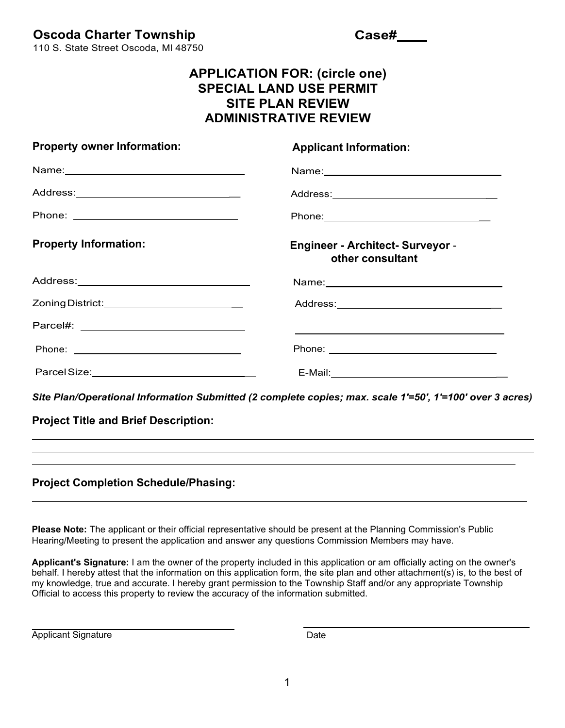**Oscoda Charter Township**

**Case#**

110 S. State Street Oscoda, Ml 48750

## **APPLICATION FOR: (circle one) SPECIAL LAND USE PERMIT SITE PLAN REVIEW ADMINISTRATIVE REVIEW**

| <b>Property owner Information:</b>                                                                             | <b>Applicant Information:</b>                               |
|----------------------------------------------------------------------------------------------------------------|-------------------------------------------------------------|
|                                                                                                                |                                                             |
| Address:_________________________________                                                                      |                                                             |
|                                                                                                                |                                                             |
| <b>Property Information:</b>                                                                                   | <b>Engineer - Architect- Surveyor -</b><br>other consultant |
|                                                                                                                |                                                             |
| Zoning District: ___________________________                                                                   |                                                             |
|                                                                                                                |                                                             |
|                                                                                                                |                                                             |
| Parcel Size: National Assembly Dent Control Control Control Control Control Control Control Control Control Co |                                                             |

*Site Plan/Operational Information Submitted (2 complete copies; max. scale 1'=50', 1'=100' over 3 acres)*

**Project Title and Brief Description:**

## **Project Completion Schedule/Phasing:**

**Please Note:** The applicant or their official representative should be present at the Planning Commission's Public Hearing/Meeting to present the application and answer any questions Commission Members may have.

**Applicant's Signature:** I am the owner of the property included in this application or am officially acting on the owner's behalf. I hereby attest that the information on this application form, the site plan and other attachment(s) is, to the best of my knowledge, true and accurate. I hereby grant permission to the Township Staff and/or any appropriate Township Official to access this property to review the accuracy of the information submitted.

Applicant Signature Date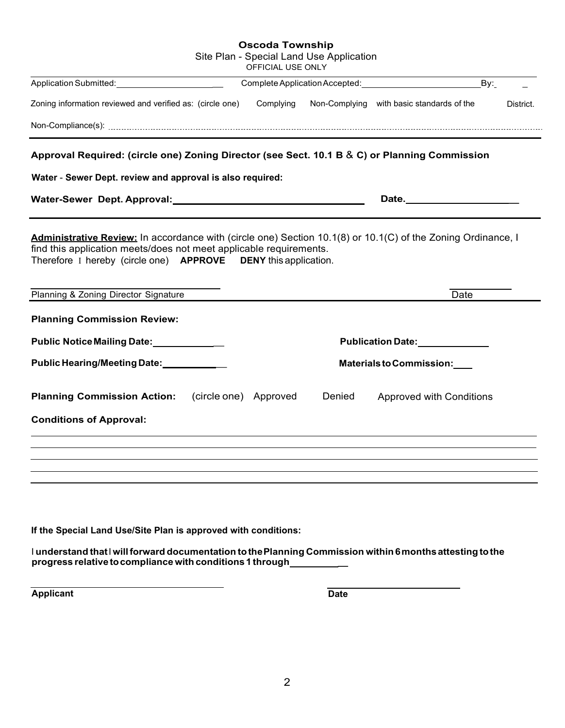| <b>Oscoda Township</b><br>Site Plan - Special Land Use Application<br>OFFICIAL USE ONLY                         |                                                                      |
|-----------------------------------------------------------------------------------------------------------------|----------------------------------------------------------------------|
|                                                                                                                 | By:<br>Complete Application Accepted: Complete Application Accepted: |
| Zoning information reviewed and verified as: (circle one) Complying                                             | Non-Complying with basic standards of the<br>District.               |
|                                                                                                                 |                                                                      |
| Approval Required: (circle one) Zoning Director (see Sect. 10.1 B & C) or Planning Commission                   |                                                                      |
| Water - Sewer Dept. review and approval is also required:                                                       |                                                                      |
| Water-Sewer Dept. Approval: Material Contract Contract Contract Contract Contract Contract Contract Contract Co | Date.                                                                |
| Planning & Zoning Director Signature<br><b>Planning Commission Review:</b>                                      | Date                                                                 |
| Public Notice Mailing Date: 1992                                                                                | Publication Date: National Publication Date:                         |
| Public Hearing/Meeting Date: 1988                                                                               | Materials to Commission:                                             |
| (circle one) Approved<br><b>Planning Commission Action:</b>                                                     | Denied<br><b>Approved with Conditions</b>                            |
| <b>Conditions of Approval:</b>                                                                                  |                                                                      |
|                                                                                                                 |                                                                      |
|                                                                                                                 |                                                                      |
|                                                                                                                 |                                                                      |
|                                                                                                                 |                                                                      |
| If the Special Land Use/Site Plan is approved with conditions:                                                  |                                                                      |

l understand that l will forward documentation to the Planning Commission within 6 months attesting to the<br>progress relative to compliance with conditions 1 through\_\_\_\_\_\_\_\_\_\_\_\_

**Applicant** Date